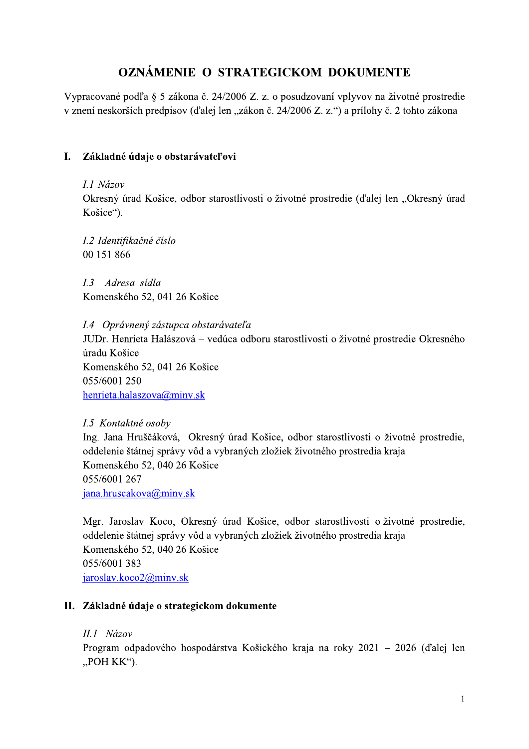# OZNÁMENIE O STRATEGICKOM DOKUMENTE

Vypracované podľa § 5 zákona č. 24/2006 Z. z. o posudzovaní vplyvov na životné prostredie v znení neskorších predpisov (ďalej len "zákon č. 24/2006 Z. z.") a prílohy č. 2 tohto zákona

#### L. Základné údaje o obstarávateľovi

#### I.1 Názov

Okresný úrad Košice, odbor starostlivosti o životné prostredie (ďalej len "Okresný úrad Košice").

I.2 Identifikačné číslo 00 151 866

I.3 Adresa sídla Komenského 52, 041 26 Košice

I.4 Oprávnený zástupca obstarávateľa

JUDr. Henrieta Halászová - vedúca odboru starostlivosti o životné prostredie Okresného úradu Košice Komenského 52, 041 26 Košice 055/6001 250 henrieta.halaszova@minv.sk

I.5 Kontaktné osoby Ing. Jana Hruščáková, Okresný úrad Košice, odbor starostlivosti o životné prostredie, oddelenie štátnej správy vôd a vybraných zložiek životného prostredia kraja Komenského 52, 040 26 Košice 055/6001 267 jana.hruscakova@minv.sk

Mgr. Jaroslav Koco, Okresný úrad Košice, odbor starostlivosti o životné prostredie, oddelenie štátnej správy vôd a vybraných zložiek životného prostredia kraja Komenského 52, 040 26 Košice 055/6001 383 jaroslav.ko $co2@$ minv.sk

#### II. Základné údaje o strategickom dokumente

II.1 Názov

Program odpadového hospodárstva Košického kraja na roky 2021 – 2026 (ďalej len  $POH KK$ ").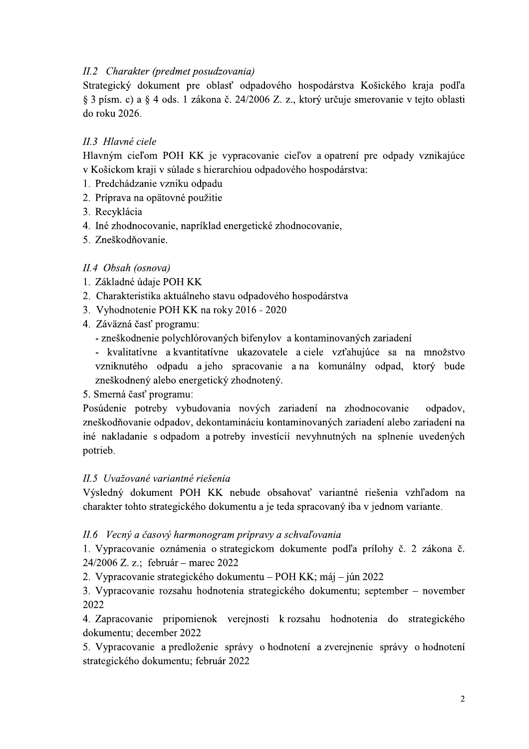## II.2 Charakter (predmet posudzovania)

Strategický dokument pre oblasť odpadového hospodárstva Košického kraja podľa § 3 písm. c) a § 4 ods. 1 zákona č. 24/2006 Z. z., ktorý určuje smerovanie v tejto oblasti do roku 2026.

### II.3 Hlavné ciele

Hlavným cieľom POH KK je vypracovanie cieľov a opatrení pre odpady vznikajúce v Košickom kraji v súlade s hierarchiou odpadového hospodárstva:

- 1. Predchádzanie vzniku odpadu
- 2. Príprava na opätovné použitie
- 3. Recyklácia
- 4. Iné zhodnocovanie, napríklad energetické zhodnocovanie,
- 5. Zneškodňovanie.

## II.4 Obsah (osnova)

- 1. Základné údaje POH KK
- 2. Charakteristika aktuálneho stavu odpadového hospodárstva
- 3. Vyhodnotenie POH KK na roky 2016 2020
- 4. Záväzná časť programu:
	- zneškodnenie polychlórovaných bifenylov a kontaminovaných zariadení
	- kvalitatívne a kvantitatívne ukazovatele a ciele vzťahujúce sa na množstvo vzniknutého odpadu a jeho spracovanie a na komunálny odpad, ktorý bude zneškodnený alebo energetický zhodnotený.
- 5. Smerná časť programu:

Posúdenie potreby vybudovania nových zariadení na zhodnocovanie odpadov, zneškodňovanie odpadov, dekontamináciu kontaminovaných zariadení alebo zariadení na iné nakladanie s odpadom a potreby investícií nevyhnutných na splnenie uvedených potrieb.

#### II.5 Uvažované variantné riešenia

Výsledný dokument POH KK nebude obsahovať variantné riešenia vzhľadom na charakter tohto strategického dokumentu a je teda spracovaný iba v jednom variante.

#### II.6 Vecný a časový harmonogram prípravy a schvaľovania

1. Vypracovanie oznámenia o strategickom dokumente podľa prílohy č. 2 zákona č. 24/2006 Z. z.; február – marec 2022

2. Vypracovanie strategického dokumentu – POH KK; máj – jún 2022

3. Vypracovanie rozsahu hodnotenia strategického dokumentu; september – november 2022

4. Zapracovanie pripomienok verejnosti k rozsahu hodnotenia do strategického dokumentu; december 2022

5. Vypracovanie a predloženie správy o hodnotení a zverejnenie správy o hodnotení strategického dokumentu; február 2022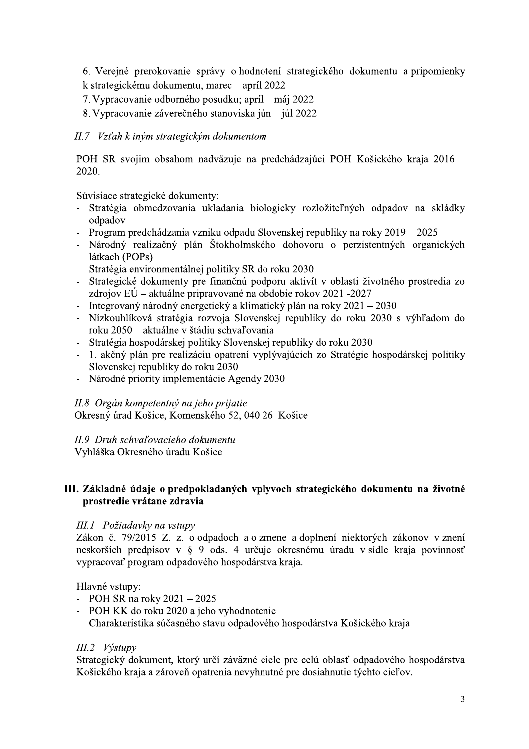6. Verejné prerokovanie správy o hodnotení strategického dokumentu a pripomienky k strategickému dokumentu, marec – apríl 2022

- 7. Vypracovanie odborného posudku; apríl máj 2022
- 8. Vypracovanie záverečného stanoviska jún júl 2022

### II.7 Vzťah k iným strategickým dokumentom

POH SR svojim obsahom nadväzuje na predchádzajúci POH Košického kraja 2016 – 2020.

Súvisiace strategické dokumenty:

- Stratégia obmedzovania ukladania biologicky rozložiteľných odpadov na skládky odpadov
- Program predchádzania vzniku odpadu Slovenskej republiky na roky 2019 2025
- Národný realizačný plán Štokholmského dohovoru o perzistentných organických látkach (POPs)
- Stratégia environmentálnej politiky SR do roku 2030
- Strategické dokumenty pre finančnú podporu aktivít v oblasti životného prostredia zo zdrojov  $E\acute{U}$  – aktuálne pripravované na obdobie rokov 2021 -2027
- Integrovaný národný energetický a klimatický plán na roky 2021 2030
- Nízkouhlíková stratégia rozvoja Slovenskej republiky do roku 2030 s výhľadom do roku 2050 – aktuálne v štádiu schvaľovania
- Stratégia hospodárskej politiky Slovenskej republiky do roku 2030
- 1. akčný plán pre realizáciu opatrení vyplývajúcich zo Stratégie hospodárskej politiky Slovenskej republiky do roku 2030
- Národné priority implementácie Agendy 2030

#### II.8 Orgán kompetentný na jeho prijatie

Okresný úrad Košice, Komenského 52, 040 26 Košice

#### II.9 Druh schvaľovacieho dokumentu

Vyhláška Okresného úradu Košice

#### III. Základné údaje o predpokladaných vplyvoch strategického dokumentu na životné prostredie vrátane zdravia

#### III.1 Požiadavky na vstupy

Zákon č. 79/2015 Z. z. o odpadoch a o zmene a doplnení niektorých zákonov v znení neskorších predpisov v § 9 ods. 4 určuje okresnému úradu v sídle kraja povinnosť vypracovať program odpadového hospodárstva kraja.

Hlavné vstupy:

- POH SR na roky  $2021 2025$
- POH KK do roku 2020 a jeho vyhodnotenie
- Charakteristika súčasného stavu odpadového hospodárstva Košického kraja

#### III.2 Výstupy

Strategický dokument, ktorý určí záväzné ciele pre celú oblasť odpadového hospodárstva Košického kraja a zároveň opatrenia nevyhnutné pre dosiahnutie týchto cieľov.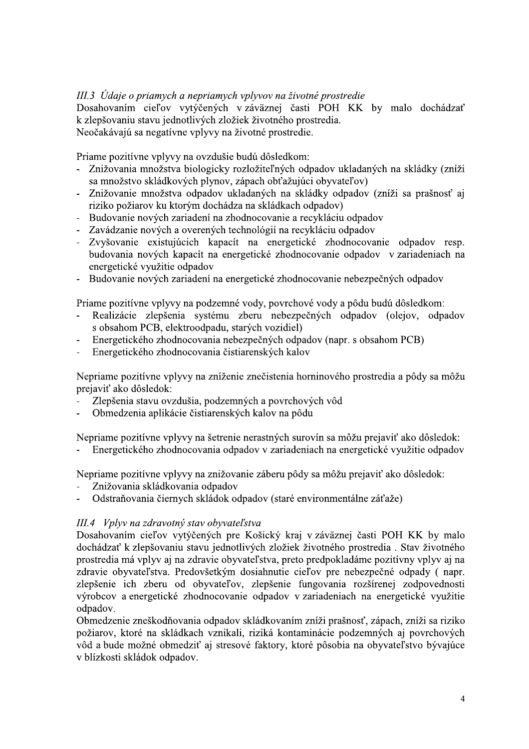III.3 Údaje o priamych a nepriamych vplyvov na životné prostredie<br>Dosahovaním cieľov vytýčených v záväznej časti POH KK by malo dochádzať III.3 Údaje o priamych a nepriamych vplyvov na životné prostredie<br>Dosahovaním cieľov vytýčených v záväznej časti POH KK b<br>k zlepšovaniu stavu jednotlivých zložiek životného prostredia.<br>Neočakávajú sa negatívne vplyvy na ži III.3 Údaje o priamych a nepriamych vplyvov na životné prostredie<br>Dosahovaním cieľov vytýčených v záväznej časti POH KK by malo dochádzať<br>k zlepšovaniu stavu jednotlivých zložick životného prostredia.<br>Neočakávajú sa negatí III.3 Údaje o priamych a nepriamych vplyvov na životné prostredie<br>Dosahovaním cieľov vytýčených v záväznej časti POH KK by malo doch<br>k zlepšovaniu stavu jednotlivých zložiek životného prostredia.<br>Neočakávajú sa negatívne v III.3 Údaje o priamych a nepriamych vplyvov na životné prostrec<br>Dosahovanim cieľov vytýčených v záväznej časti POH K<br>k zlepšovaniu stavu jednotlivých zložiek životného prostredia.<br>Neočakávajú sa negatívne vplyvy na životné

Priame pozitívne vplyvy na ovzdušie budú dôsledkom:

- 
- 
- 
- 
- III.3 Údaje o priamych a nepriamych vplyvov na životné<br>
Dosahovaním cieľov vytýčených v záväznej časti 1<br>
k zlepšovaniu stavu jednotlivých zložiek životného prostr<br>
Neočakávajú sa negatívne vplyvy na životné prostredie.<br>
P *III.3 Údaje o priamych a nepriamych vplyvov na životné prostredie*<br>
Dosahovaním cieľov vytýčených vzáväznej časti POH KK by malo dochádzať<br>
klepšovaniu stavu jednotlivých zložick životného prostredie.<br>
Priame pozitívne vp *HI.3* Udaje o priamych a nepriamych vplyvov na životné prostredie<br>
Dosahovaním cieľov vytýčených v záväznej časti POH KK by malo dochádzať<br>
k zlepšovaniu stavu jednotlivých zložite životného prostredia.<br>
Neočakávajú sa ne k zlepšovaniu stavu jednotlivých zložiek životného prostredia.<br>
Neočakávajú sa negatívne vplyvy na životné prostredie.<br>
Priame pozitívne vplyvy na ovzdušie budú dôsledkom:<br>
- Znižovania množstva biologicky rozložiteľných o ivotného prostredia.<br>
né prostredie.<br>
dôsledkom:<br>
žiteľných odpadov ukladaných na skládky (zníži<br>
ch obťažujúci obyvateľov)<br>
ných na skládky odpadov (zníži sa prašnosť aj<br>
skládkach odpadov)<br>
covanie a recykláciu odpadov<br> Neočakávajú sa negatívne vplyvy na životné prostredie.<br>
Priame pozitívne vplyvy na ovzdušie budú dôsledkom:<br>
Znižovania množstva biologicky rozložiteľných odpadov ukladaných r<br>
sa množstvo skládkových plynov, zápach obťažu ne vplyvy na životné prostredie.<br>
7 na ovzdušie budú dôsledkom:<br>
1 biologicky rozložiteľných odpadov ukladaných na skládky (zníž<br>
vých plynov, zápach obťažujúci obyvateľov)<br>
1 a odpadov ukladaných na skládky odpadov)<br>
7 m Priame pozitívne vplyvy na ovzdušie budú dôsledkom:<br>
– Znižovania množstva biologicky rozložiteľných odpadov ukladaných na skládky (zníži sa množstvo skládkových plynov, zápach obtažujúci obyvateľov)<br>
– Znižovanie množstva zariadeniach na Znižovania množstva biologicky rozložiteľných odpadov ukladaných na skládky (zníži sa množstvo skládkových plynov, zápach obťažujúci obyvateľov)<br>Znižovanie množstva odpadov ukladaných na skládky odpadov (zníži sa prašnosť sa množstvo skládkových plynov, zápach obťažujúci obyvateľov)<br>
– Znižovanie množstva odpadov ukladaných na skládky odpadov (zníži sa prašnosť<br>
rzizko požiarov ku ktorým dochádza na skládkach odpadov)<br>
– Budovanie nových za riziko požiarov ku ktorým dochádza na skládkach odpadov)<br>
– Budovanie nových zariadení na zhodnocovanie a recykláciu odpadov<br>
– Zavádzanie nových zariadení na zhodnocovanie a recykláciu odpadov<br>
– Zvyšovanie existujúcich k - Budovanie nových zariadení na zhodnocovanie a recykláciu odpadov<br>- Zvyšovanie e existujúcich kapacit na energetické zhodnocovanie odpadov<br>- Zvyšovanie existujúcich kapacit na energetické zhodnocovanie odpadov<br>- budovania - Zavádzanie nových a overených technológií na recykláciu o<br>
- Zvyšovanie existujúcich kapacít na energetické zhod<br>
budovania nových kapacít na energetické zhodnocovanie<br>
- Budovanie nových zariadení na energetické zhodnoc - Zvyšovanie existujúcich kapacít na energetické zbodovania nových kapacít na energetické zhodnocovanienergetické využitie odpadov<br>- Budovanie nových zariadení na energetické zhodnocovan<br>Priame pozitívne vplyvy na podzemné
	-

podu budu dosledkom:

- 
- (napr. s obsahom PCB)
- 

budovania nových kapacít na energetické zhodnocovanie odpadov v zariadenienergetické využitie odpadov<br>
- Budovanie nových zariadení na energetické zhodnocovanie nebezpečných odpado<br>
Priame pozitívne vplyvy na podzemné vody - Budovanie nových zariadení na energetické zhodnocovanie nebezpečných odpadov<br>
Priame pozitívne vplyvy na podzemné vody, povrchové vody a pôdu budú dôsledkom:<br>
- Realizácie zlepšenia systému zberu nebezpečných odpadov (ol - Budovanie nových zariadení na energetické zhodnocovanie nebezpečných odpadov<br>
Priame pozitívne vplyvy na podzemné vody, povrchové vody a pôdu budú dôsledkom:<br>
- Realizácie zlepšemia systému zberu nebezpečných odpadov (o Priame pozitívne vplyvy na podzemné vody, povrchové vody a pôdu<br>
- Realizácie zlepšenia systému zberu nebezpečných odpad<br>
s obsahom PCB, elektroodpadu, starých vozidiel)<br>
- Energetického zhodnocovania čistiarenských odpado - Realizácie zlepšenia systému zberu nebezpečných odpadov (<br>
s obsahom PCB, elektroodpadu, starých vozidiel)<br>
- Energetického zhodnocovania nebezpečných odpadov (napr. s obsaho<br>
- Energetického zhodnocovania čistiarenských Energetického zhodnocovania nebezpečných odpadov (napr. s obsahom PCB)<br>
Energetického zhodnocovania čistiarenských kalov<br>
Nepriame pozitívne vplyvy na zníženie znečistenia horninového prostredia a pôdy sa môžu<br>
prejaviť ak

- Zlepšenia stavu ovzdušia, podzemných a povrchových vôd
- Obmedzenia aplikácie čistiarenských kalov na pôdu

Nepriame pozitívne vplyvy na šetrenie nerastných surovín sa môžu prejaviť ako dôsledok:

Nepriame pozitívne vplyvy na znižovanie záberu pôdy sa môžu prejaviť ako dôsledok:

- 
- 

- Energetického zhodnocovania čistiarenských kalov<br>
Nepriame pozitívne vplyvy na zníženie znečistenia horninového prostredia a pôdy sa môžu<br>
prejaviť ako dôsledok:<br>
- Zlepšenia stavu ovzdušia, podzemných a povrchových vôd<br> odnocovania čistiarenských kalov<br>plyvy na zniženie znečistenia horninového prostredia a pôdy sa môžu<br>:<br>zzdušia, podzemných a povrchových vôd<br>aére čistiarenských kalov na pôdu<br>plyvy na šetrenie nerastných surovín sa môžu pr Nepriame pozitívne vplyvy na zniženie znečistenia horninového prostredia a pôdy sa môžu<br>
prejaviť ako dôsledok:<br>
- Zlepšenia stavu ovzdušia, podzemných a povrchových vôd<br>
- Obmedzenia aplikácie čistiarenských kalov na pôdu prejaviť ako dôsledok:<br>
- Zlepšenia stavu ovzdušia, podzemných a povrchových vôd<br>
- Obmedzenia aplikácie čistiarenských kalov na pôdu<br>
Nepriame pozitívne vplyvy na šetrenie nerastných surovín sa môžu prejaviť ako dôsledok<br> - Zlepšenia stavu ovzdušia, podzemných a povrchových vôd<br>
- Obmedzenia aplikácie čistiarenských kalov na pôdu<br>
Nepriame pozitívne vplyvy na žetrenie nerastných surovín sa môžu prejaviť ako dôsledok:<br>
- Energetického zhodno Nepriame pozitívne vplyvy na šetrenie nerastných surovín sa môžu prejaviť<br>
- Energetického zhodnocovania odpadov v zariadeniach na energetické vy<br>
Nepriame pozitívne vplyvy na znižovanie záberu pôdy sa môžu prejaviť ako<br>
rastných surovín sa môžu prejaviť ako dôsledok:<br>
v v zariadeniach na energetické využitie odpadov<br>
záberu pôdy sa môžu prejaviť ako dôsledok:<br>
lov (staré environmentálne záťaže)<br>
a<br>
a<br>
sšický kraj v záväznej časti POH KK b by malo - Energetického zhodnocovania odpadov v zariadeniach na energetické využitie odpadov<br>Nepriame pozitívne vplyvy na znižovanie záberu pôdy sa môžu prejaviť ako dôsledok:<br>
- Znižovania skládkovania odpadov<br>
- Odstraňovania či - Energetického zhodnocovania odpadov v zariadeniach na energetické využitie odpadov<br>
Nepriame pozitívne vplyvy na znižovanie záberu pôdy sa môžu prejaviť ako dôsledok:<br>
- Znižovania šelkádkovania odpadov (staré environme iovania čiernych skládok odpadov (staré environmentálne z<br> *v na zdravotný stav obyvateľstva*<br>
im cieľov vytýčených pre Košický kraj v záväznej čast<br>
k zlepšovaniu stavu jednotlivých zložiek životného prostra<br>
ná vplyv aj - Odstraňovania čiernych skládok odpadov (staré environmentálne záťaže)<br>
III.4 Vplyv na zdravotný stav obyvateľstva<br>
Dosahovaním cieľov vytýčených pre Košický kraj v záväznej časti POH KK by malo<br>
dochádzať k zlepšovaniu s III.4 Vpłyv na zdravotný stav obyvateľstva<br>
Doshádzanim cieľov vytýčených pre Košický kraj v záväznej časti POH KK by malo<br>
dochádzať k zlepšovaniu stavu jednotlivých zložiek životného prostredia . Stav životného<br>
prostred dochádzať k zlepšovaniu stavu jednotlivých zložiek životného prostredia . Stav životného prostredia má vplyv aj na zdravie obyvateľstva, preto predpokladáme pozitívny vplyv aj na zdravie obyvateľstva. Predovšetkým dosiahnu prostredia má vplyv aj na zdravie obyvateľstva, zdravie obyvateľstva. Predovšetkým dosiahnut zlepšenie ich zberu od obyvateľov, zlepšer výrobcov a energetické zhodnocovanie odpado odpadov.<br>Obmedzenie zneškodňovania odpadov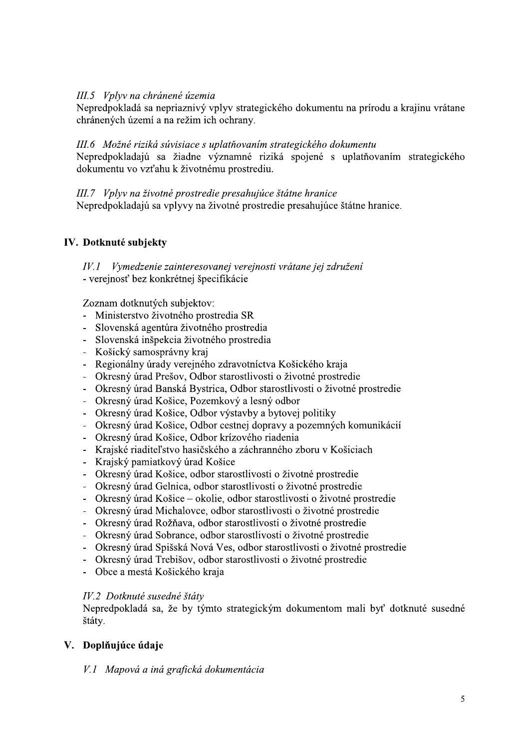### III.5 Vplyv na chránené územia

Nepredpokladá sa nepriaznivý vplyv strategického dokumentu na prírodu a krajinu vrátane chránených území a na režim ich ochrany.

#### III.6 Možné riziká súvisiace s uplatňovaním strategického dokumentu

Nepredpokladajú sa žiadne významné riziká spojené s uplatňovaním strategického dokumentu vo vzťahu k životnému prostrediu.

III.7 Vplyv na životné prostredie presahujúce štátne hranice Nepredpokladajú sa vplyvy na životné prostredie presahujúce štátne hranice.

#### IV. Dotknuté subjekty

 $I\hspace{-1.5pt}V\hspace{-1.5pt}I$ Vymedzenie zainteresovanej verejnosti vrátane jej združení - verejnosť bez konkrétnej špecifikácie

Zoznam dotknutých subjektov:

- Ministerstvo životného prostredia SR
- Slovenská agentúra životného prostredia
- Slovenská inšpekcia životného prostredia  $\mathbb{Z}^{\mathbb{Z}}$
- Košický samosprávny kraj
- Regionálny úrady verejného zdravotníctva Košického kraja
- Okresný úrad Prešov, Odbor starostlivosti o životné prostredie
- Okresný úrad Banská Bystrica, Odbor starostlivosti o životné prostredie
- Okresný úrad Košice, Pozemkový a lesný odbor
- Okresný úrad Košice, Odbor výstavby a bytovej politiky
- Okresný úrad Košice, Odbor cestnej dopravy a pozemných komunikácií
- Okresný úrad Košice, Odbor krízového riadenia
- Krajské riaditeľstvo hasičského a záchranného zboru v Košiciach
- Krajský pamiatkový úrad Košice
- Okresný úrad Košice, odbor starostlivosti o životné prostredie
- Okresný úrad Gelnica, odbor starostlivosti o životné prostredie
- Okresný úrad Košice okolie, odbor starostlivosti o životné prostredie
- Okresný úrad Michalovce, odbor starostlivosti o životné prostredie
- Okresný úrad Rožňava, odbor starostlivosti o životné prostredie
- Okresný úrad Sobrance, odbor starostlivosti o životné prostredie
- Okresný úrad Spišská Nová Ves, odbor starostlivosti o životné prostredie
- Okresný úrad Trebišov, odbor starostlivosti o životné prostredie
- Obce a mestá Košického kraja

#### IV.2 Dotknuté susedné štáty

Nepredpokladá sa, že by týmto strategickým dokumentom mali byť dotknuté susedné štáty.

#### V. Doplňujúce údaje

#### V.1 Mapová a iná grafická dokumentácia